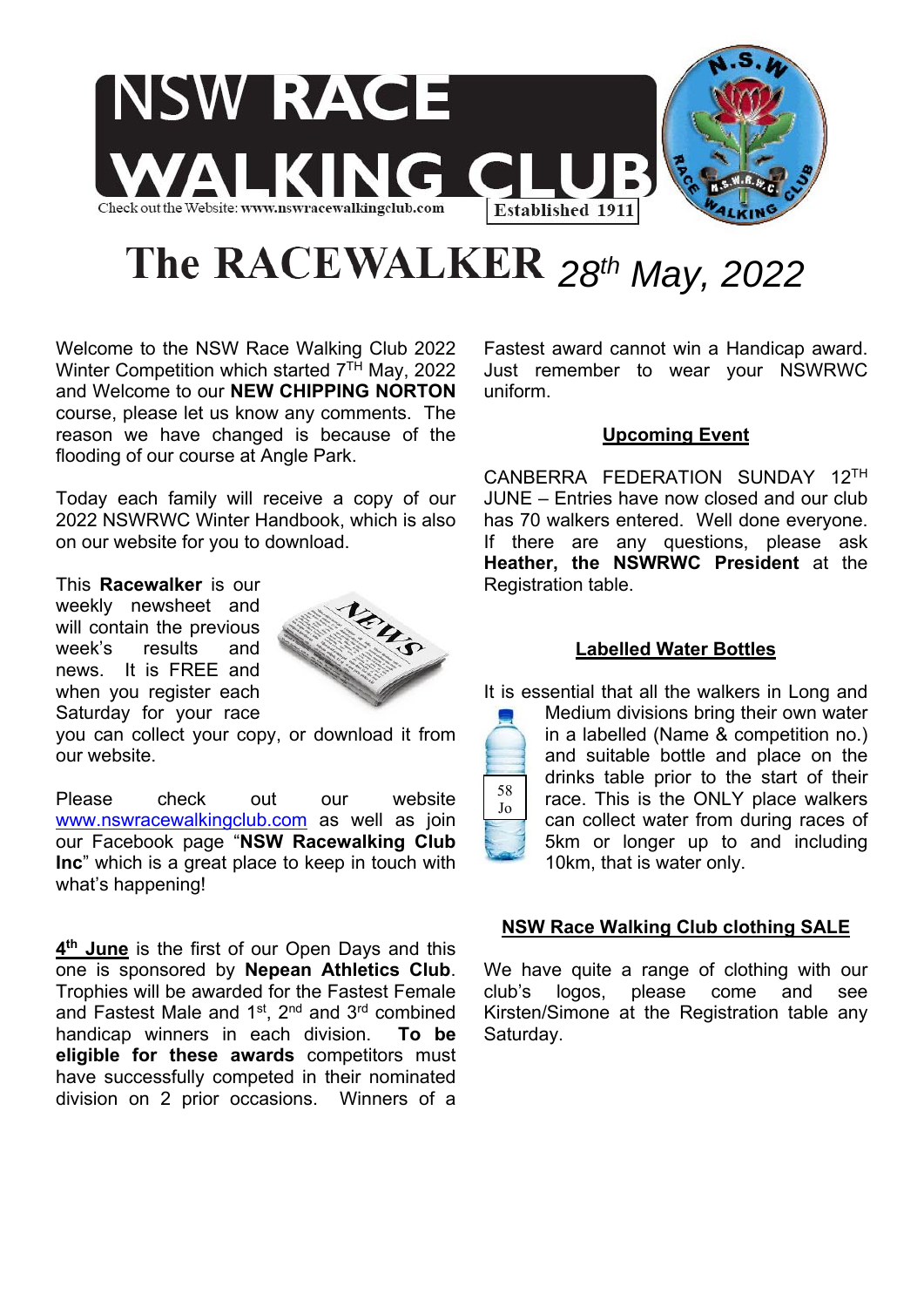

# The RACEWALKER  $28^{th}$  May, 2022

58 Jo

Welcome to the NSW Race Walking Club 2022 Winter Competition which started  $7<sup>TH</sup>$  May, 2022 and Welcome to our **NEW CHIPPING NORTON** course, please let us know any comments. The reason we have changed is because of the flooding of our course at Angle Park.

Today each family will receive a copy of our 2022 NSWRWC Winter Handbook, which is also on our website for you to download.

This **Racewalker** is our weekly newsheet and will contain the previous week's results and news. It is FREE and when you register each Saturday for your race



you can collect your copy, or download it from our website.

Please check out our website www.nswracewalkingclub.com as well as join our Facebook page "**NSW Racewalking Club Inc**" which is a great place to keep in touch with what's happening!

**4th June** is the first of our Open Days and this one is sponsored by **Nepean Athletics Club**. Trophies will be awarded for the Fastest Female and Fastest Male and 1st, 2nd and 3rd combined handicap winners in each division. **To be eligible for these awards** competitors must have successfully competed in their nominated division on 2 prior occasions. Winners of a Fastest award cannot win a Handicap award. Just remember to wear your NSWRWC uniform.

# **Upcoming Event**

CANBERRA FEDERATION SUNDAY 12TH JUNE – Entries have now closed and our club has 70 walkers entered. Well done everyone. If there are any questions, please ask **Heather, the NSWRWC President** at the Registration table.

# **Labelled Water Bottles**

It is essential that all the walkers in Long and

Medium divisions bring their own water in a labelled (Name & competition no.) and suitable bottle and place on the drinks table prior to the start of their race. This is the ONLY place walkers can collect water from during races of 5km or longer up to and including 10km, that is water only.

# **NSW Race Walking Club clothing SALE**

We have quite a range of clothing with our club's logos, please come and see Kirsten/Simone at the Registration table any Saturday.